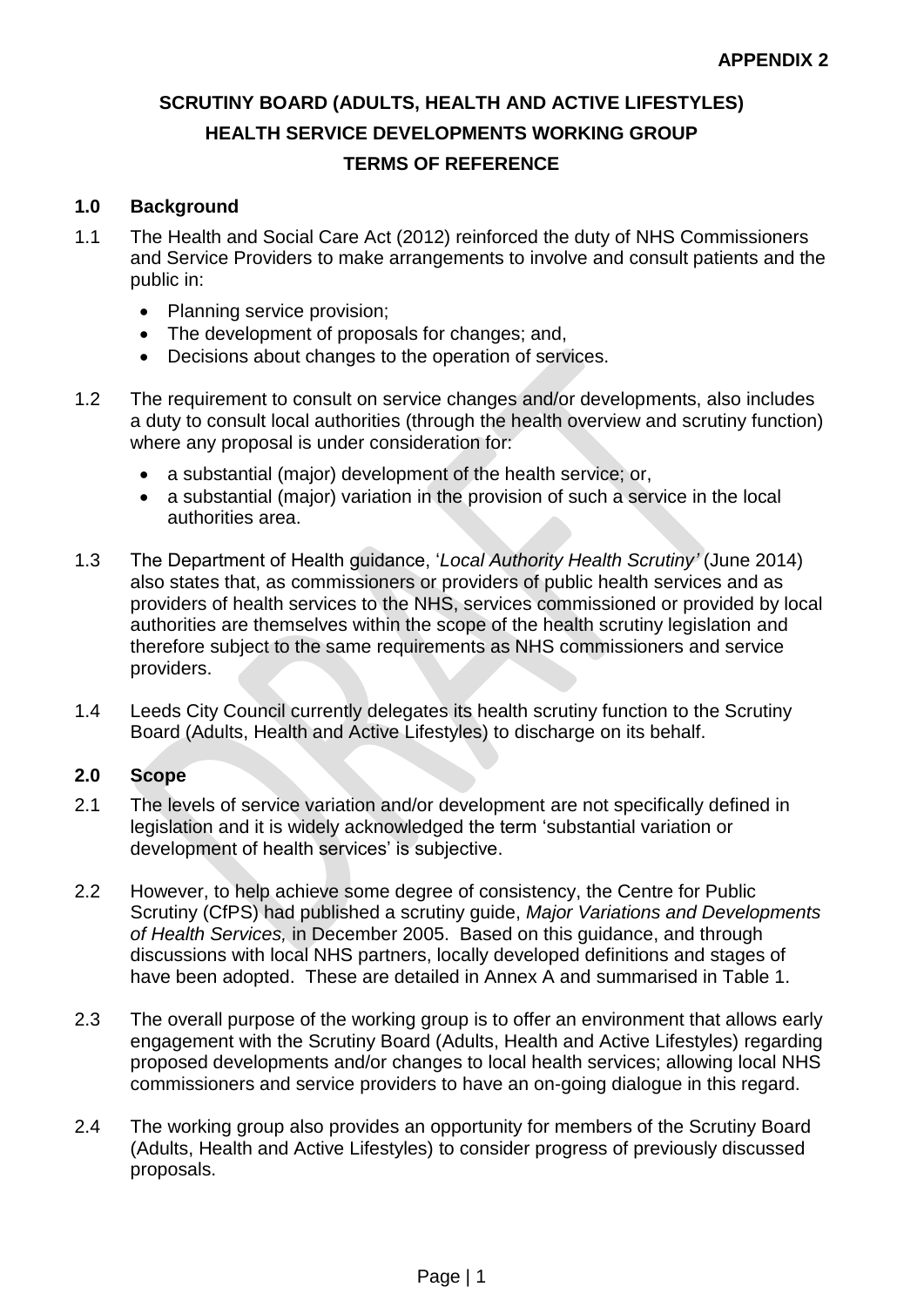# **SCRUTINY BOARD (ADULTS, HEALTH AND ACTIVE LIFESTYLES) HEALTH SERVICE DEVELOPMENTS WORKING GROUP TERMS OF REFERENCE**

### **1.0 Background**

- 1.1 The Health and Social Care Act (2012) reinforced the duty of NHS Commissioners and Service Providers to make arrangements to involve and consult patients and the public in:
	- Planning service provision;
	- The development of proposals for changes; and,
	- Decisions about changes to the operation of services.
- 1.2 The requirement to consult on service changes and/or developments, also includes a duty to consult local authorities (through the health overview and scrutiny function) where any proposal is under consideration for:
	- a substantial (major) development of the health service; or,
	- a substantial (major) variation in the provision of such a service in the local authorities area.
- 1.3 The Department of Health guidance, '*Local Authority Health Scrutiny'* (June 2014) also states that, as commissioners or providers of public health services and as providers of health services to the NHS, services commissioned or provided by local authorities are themselves within the scope of the health scrutiny legislation and therefore subject to the same requirements as NHS commissioners and service providers.
- 1.4 Leeds City Council currently delegates its health scrutiny function to the Scrutiny Board (Adults, Health and Active Lifestyles) to discharge on its behalf.

#### **2.0 Scope**

- 2.1 The levels of service variation and/or development are not specifically defined in legislation and it is widely acknowledged the term 'substantial variation or development of health services' is subjective.
- 2.2 However, to help achieve some degree of consistency, the Centre for Public Scrutiny (CfPS) had published a scrutiny guide, *Major Variations and Developments of Health Services,* in December 2005. Based on this guidance, and through discussions with local NHS partners, locally developed definitions and stages of have been adopted. These are detailed in Annex A and summarised in Table 1.
- 2.3 The overall purpose of the working group is to offer an environment that allows early engagement with the Scrutiny Board (Adults, Health and Active Lifestyles) regarding proposed developments and/or changes to local health services; allowing local NHS commissioners and service providers to have an on-going dialogue in this regard.
- 2.4 The working group also provides an opportunity for members of the Scrutiny Board (Adults, Health and Active Lifestyles) to consider progress of previously discussed proposals.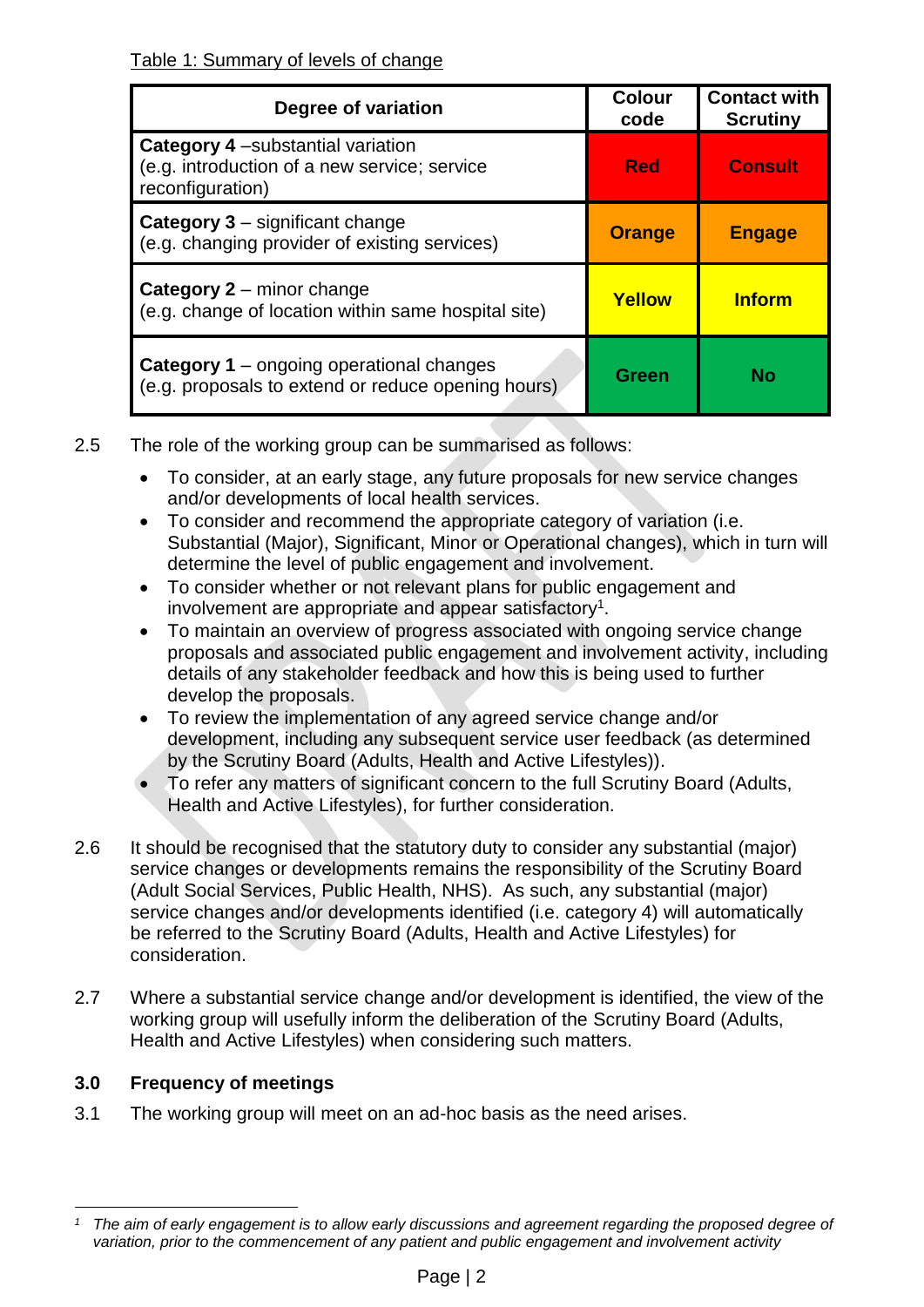| Degree of variation                                                                                           | <b>Colour</b><br>code | <b>Contact with</b><br><b>Scrutiny</b> |
|---------------------------------------------------------------------------------------------------------------|-----------------------|----------------------------------------|
| <b>Category 4</b> - substantial variation<br>(e.g. introduction of a new service; service<br>reconfiguration) | <b>Red</b>            | <b>Consult</b>                         |
| <b>Category 3 – significant change</b><br>(e.g. changing provider of existing services)                       | <b>Orange</b>         | <b>Engage</b>                          |
| <b>Category 2 – minor change</b><br>(e.g. change of location within same hospital site)                       | Yellow                | <b>Inform</b>                          |
| <b>Category 1</b> – ongoing operational changes<br>(e.g. proposals to extend or reduce opening hours)         | Green                 | Nο                                     |

- 2.5 The role of the working group can be summarised as follows:
	- To consider, at an early stage, any future proposals for new service changes and/or developments of local health services.
	- To consider and recommend the appropriate category of variation (i.e. Substantial (Major), Significant, Minor or Operational changes), which in turn will determine the level of public engagement and involvement.
	- To consider whether or not relevant plans for public engagement and involvement are appropriate and appear satisfactory<sup>1</sup>.
	- To maintain an overview of progress associated with ongoing service change proposals and associated public engagement and involvement activity, including details of any stakeholder feedback and how this is being used to further develop the proposals.
	- To review the implementation of any agreed service change and/or development, including any subsequent service user feedback (as determined by the Scrutiny Board (Adults, Health and Active Lifestyles)).
	- To refer any matters of significant concern to the full Scrutiny Board (Adults, Health and Active Lifestyles), for further consideration.
- 2.6 It should be recognised that the statutory duty to consider any substantial (major) service changes or developments remains the responsibility of the Scrutiny Board (Adult Social Services, Public Health, NHS). As such, any substantial (major) service changes and/or developments identified (i.e. category 4) will automatically be referred to the Scrutiny Board (Adults, Health and Active Lifestyles) for consideration.
- 2.7 Where a substantial service change and/or development is identified, the view of the working group will usefully inform the deliberation of the Scrutiny Board (Adults, Health and Active Lifestyles) when considering such matters.

## **3.0 Frequency of meetings**

3.1 The working group will meet on an ad-hoc basis as the need arises.

<sup>1</sup> *<sup>1</sup> The aim of early engagement is to allow early discussions and agreement regarding the proposed degree of variation, prior to the commencement of any patient and public engagement and involvement activity*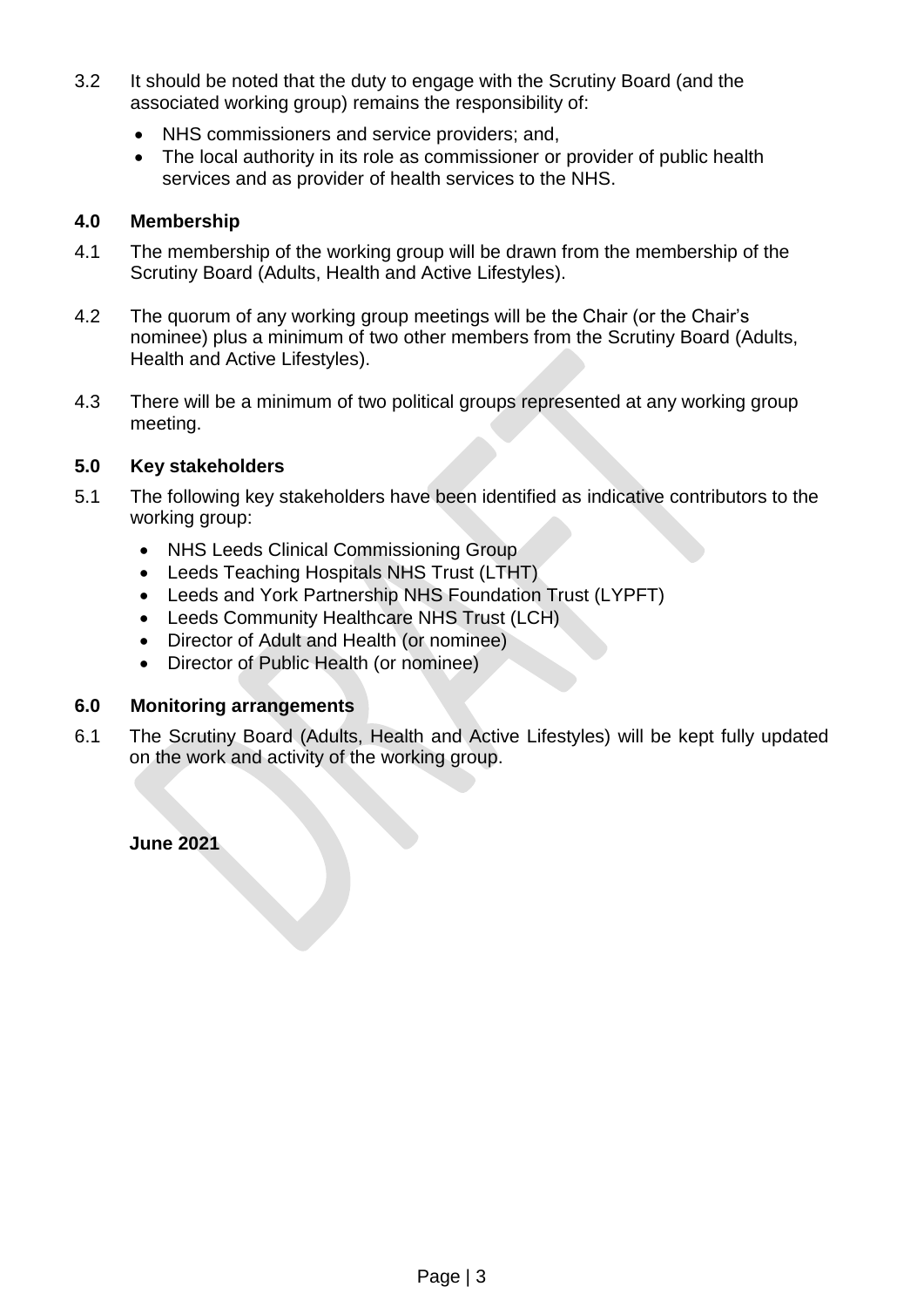- 3.2 It should be noted that the duty to engage with the Scrutiny Board (and the associated working group) remains the responsibility of:
	- NHS commissioners and service providers; and,
	- The local authority in its role as commissioner or provider of public health services and as provider of health services to the NHS.

### **4.0 Membership**

- 4.1 The membership of the working group will be drawn from the membership of the Scrutiny Board (Adults, Health and Active Lifestyles).
- 4.2 The quorum of any working group meetings will be the Chair (or the Chair's nominee) plus a minimum of two other members from the Scrutiny Board (Adults, Health and Active Lifestyles).
- 4.3 There will be a minimum of two political groups represented at any working group meeting.

### **5.0 Key stakeholders**

- 5.1 The following key stakeholders have been identified as indicative contributors to the working group:
	- NHS Leeds Clinical Commissioning Group
	- Leeds Teaching Hospitals NHS Trust (LTHT)
	- Leeds and York Partnership NHS Foundation Trust (LYPFT)
	- Leeds Community Healthcare NHS Trust (LCH)
	- Director of Adult and Health (or nominee)
	- Director of Public Health (or nominee)

### **6.0 Monitoring arrangements**

6.1 The Scrutiny Board (Adults, Health and Active Lifestyles) will be kept fully updated on the work and activity of the working group.

**June 2021**